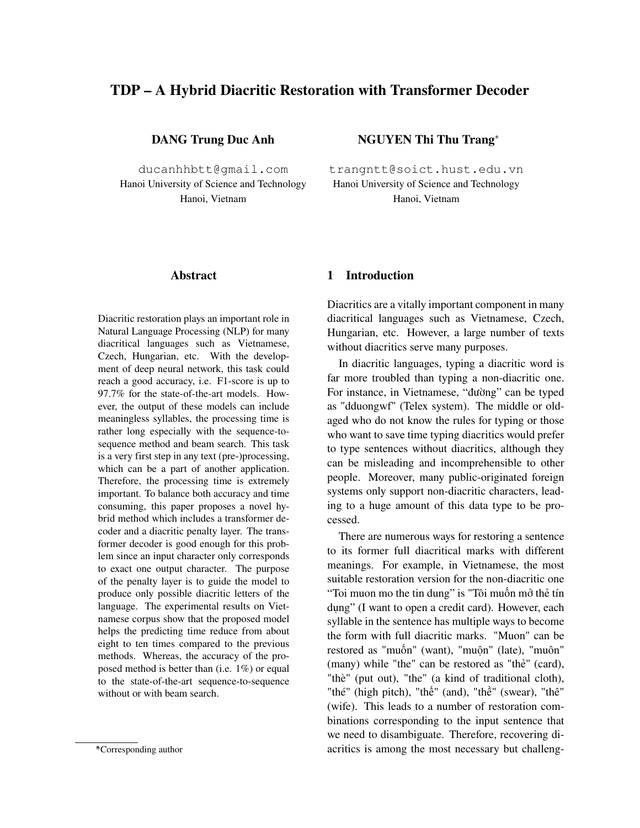# **TDP – A Hybrid Diacritic Restoration with Transformer Decoder**

**DANG Trung Duc Anh**

ducanhhbtt@gmail.com Hanoi University of Science and Technology Hanoi, Vietnam

#### **Abstract**

Diacritic restoration plays an important role in Natural Language Processing (NLP) for many diacritical languages such as Vietnamese, Czech, Hungarian, etc. With the development of deep neural network, this task could reach a good accuracy, i.e. F1-score is up to 97.7% for the state-of-the-art models. However, the output of these models can include meaningless syllables, the processing time is rather long especially with the sequence-tosequence method and beam search. This task is a very first step in any text (pre-)processing, which can be a part of another application. Therefore, the processing time is extremely important. To balance both accuracy and time consuming, this paper proposes a novel hybrid method which includes a transformer decoder and a diacritic penalty layer. The transformer decoder is good enough for this problem since an input character only corresponds to exact one output character. The purpose of the penalty layer is to guide the model to produce only possible diacritic letters of the language. The experimental results on Vietnamese corpus show that the proposed model helps the predicting time reduce from about eight to ten times compared to the previous methods. Whereas, the accuracy of the proposed method is better than (i.e. 1%) or equal to the state-of-the-art sequence-to-sequence without or with beam search.

**NGUYEN Thi Thu Trang**<sup>∗</sup>

trangntt@soict.hust.edu.vn Hanoi University of Science and Technology Hanoi, Vietnam

### **1 Introduction**

Diacritics are a vitally important component in many diacritical languages such as Vietnamese, Czech, Hungarian, etc. However, a large number of texts without diacritics serve many purposes.

In diacritic languages, typing a diacritic word is far more troubled than typing a non-diacritic one. For instance, in Vietnamese, "đường" can be typed as "dduongwf" (Telex system). The middle or oldaged who do not know the rules for typing or those who want to save time typing diacritics would prefer to type sentences without diacritics, although they can be misleading and incomprehensible to other people. Moreover, many public-originated foreign systems only support non-diacritic characters, leading to a huge amount of this data type to be processed.

There are numerous ways for restoring a sentence to its former full diacritical marks with different meanings. For example, in Vietnamese, the most suitable restoration version for the non-diacritic one "Toi muon mo the tin dung" is "Tôi muốn mở thẻ tín dung" (I want to open a credit card). However, each syllable in the sentence has multiple ways to become the form with full diacritic marks. "Muon" can be restored as "muốn" (want), "muộn" (late), "muôn" (many) while "the" can be restored as "thẻ" (card), "thè" (put out), "the" (a kind of traditional cloth), "thé" (high pitch), "thế" (and), "thề" (swear), "thê" (wife). This leads to a number of restoration combinations corresponding to the input sentence that we need to disambiguate. Therefore, recovering diacritics is among the most necessary but challeng-

<sup>∗</sup> \*Corresponding author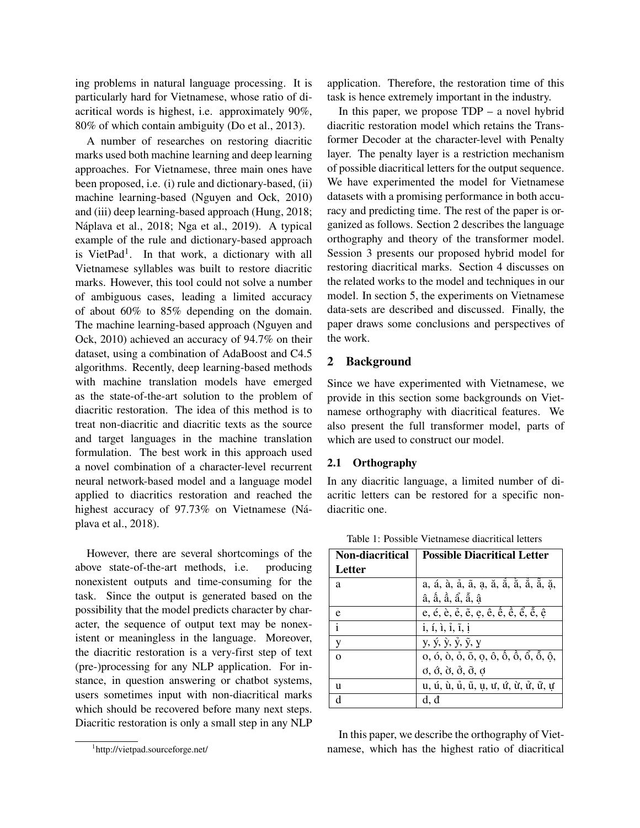ing problems in natural language processing. It is particularly hard for Vietnamese, whose ratio of diacritical words is highest, i.e. approximately 90%, 80% of which contain ambiguity (Do et al., 2013).

A number of researches on restoring diacritic marks used both machine learning and deep learning approaches. For Vietnamese, three main ones have been proposed, i.e. (i) rule and dictionary-based, (ii) machine learning-based (Nguyen and Ock, 2010) and (iii) deep learning-based approach (Hung, 2018; Náplava et al., 2018; Nga et al., 2019). A typical example of the rule and dictionary-based approach is VietPad<sup>1</sup>. In that work, a dictionary with all Vietnamese syllables was built to restore diacritic marks. However, this tool could not solve a number of ambiguous cases, leading a limited accuracy of about 60% to 85% depending on the domain. The machine learning-based approach (Nguyen and Ock, 2010) achieved an accuracy of 94.7% on their dataset, using a combination of AdaBoost and C4.5 algorithms. Recently, deep learning-based methods with machine translation models have emerged as the state-of-the-art solution to the problem of diacritic restoration. The idea of this method is to treat non-diacritic and diacritic texts as the source and target languages in the machine translation formulation. The best work in this approach used a novel combination of a character-level recurrent neural network-based model and a language model applied to diacritics restoration and reached the highest accuracy of 97.73% on Vietnamese (Náplava et al., 2018).

However, there are several shortcomings of the above state-of-the-art methods, i.e. producing nonexistent outputs and time-consuming for the task. Since the output is generated based on the possibility that the model predicts character by character, the sequence of output text may be nonexistent or meaningless in the language. Moreover, the diacritic restoration is a very-first step of text (pre-)processing for any NLP application. For instance, in question answering or chatbot systems, users sometimes input with non-diacritical marks which should be recovered before many next steps. Diacritic restoration is only a small step in any NLP

application. Therefore, the restoration time of this task is hence extremely important in the industry.

In this paper, we propose  $TDP - a$  novel hybrid diacritic restoration model which retains the Transformer Decoder at the character-level with Penalty layer. The penalty layer is a restriction mechanism of possible diacritical letters for the output sequence. We have experimented the model for Vietnamese datasets with a promising performance in both accuracy and predicting time. The rest of the paper is organized as follows. Section 2 describes the language orthography and theory of the transformer model. Session 3 presents our proposed hybrid model for restoring diacritical marks. Section 4 discusses on the related works to the model and techniques in our model. In section 5, the experiments on Vietnamese data-sets are described and discussed. Finally, the paper draws some conclusions and perspectives of the work.

## **2 Background**

Since we have experimented with Vietnamese, we provide in this section some backgrounds on Vietnamese orthography with diacritical features. We also present the full transformer model, parts of which are used to construct our model.

#### **2.1 Orthography**

In any diacritic language, a limited number of diacritic letters can be restored for a specific nondiacritic one.

| <b>Non-diacritical</b> | <b>Possible Diacritical Letter</b>                                                           |
|------------------------|----------------------------------------------------------------------------------------------|
| Letter                 |                                                                                              |
| a                      | a, á, à, å, ã, a, ă, ă, ă, ă, ă, ă,                                                          |
|                        | â, ấ, ầ, ẩ, ẫ, â                                                                             |
| e                      | e, é, è, é, ē, e, ê, ê, ề, ể, ể, ễ, ê                                                        |
| $\mathbf{i}$           | $i, i, i, i, i, \tilde{i}$                                                                   |
| y                      | y, ý, ỳ, ỷ, ỹ, y                                                                             |
| $\Omega$               |                                                                                              |
|                        | $\phi$ , $\dot{\theta}$ , $\dot{\theta}$ , $\dot{\theta}$ , $\ddot{\theta}$ , $\dot{\theta}$ |
| u                      | u, ú, ù, ủ, ũ, ụ, ư, ứ, ừ, ử, ữ, ự                                                           |
|                        |                                                                                              |

Table 1: Possible Vietnamese diacritical letters

In this paper, we describe the orthography of Vietnamese, which has the highest ratio of diacritical

<sup>1</sup> http://vietpad.sourceforge.net/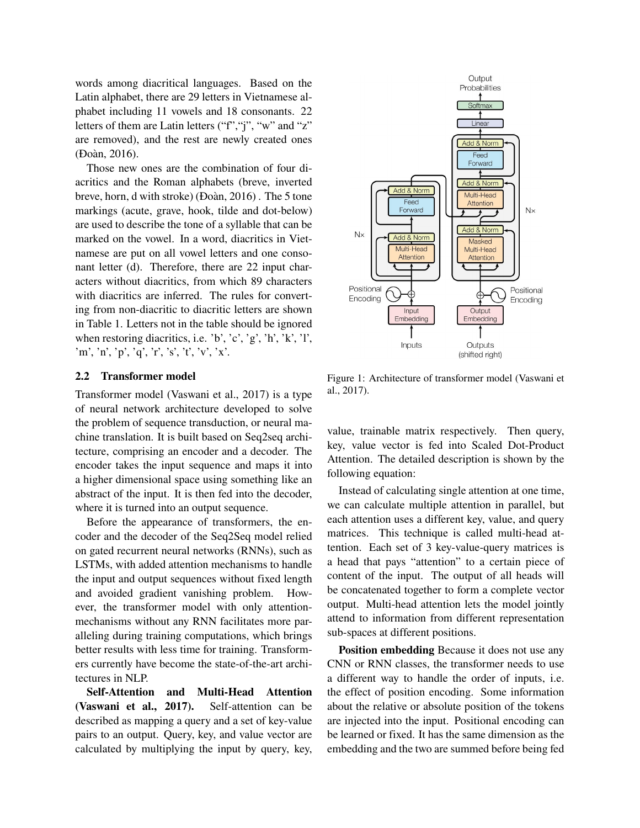words among diacritical languages. Based on the Latin alphabet, there are 29 letters in Vietnamese alphabet including 11 vowels and 18 consonants. 22 letters of them are Latin letters ("f","j", "w" and "z" are removed), and the rest are newly created ones (Đoàn, 2016).

Those new ones are the combination of four diacritics and the Roman alphabets (breve, inverted breve, horn, d with stroke) (Đoàn, 2016) . The 5 tone markings (acute, grave, hook, tilde and dot-below) are used to describe the tone of a syllable that can be marked on the vowel. In a word, diacritics in Vietnamese are put on all vowel letters and one consonant letter (d). Therefore, there are 22 input characters without diacritics, from which 89 characters with diacritics are inferred. The rules for converting from non-diacritic to diacritic letters are shown in Table 1. Letters not in the table should be ignored when restoring diacritics, i.e. 'b', 'c', 'g', 'h', 'k', 'l', 'm', 'n', 'p', 'q', 'r', 's', 't', 'v', 'x'.

#### **2.2 Transformer model**

Transformer model (Vaswani et al., 2017) is a type of neural network architecture developed to solve the problem of sequence transduction, or neural machine translation. It is built based on Seq2seq architecture, comprising an encoder and a decoder. The encoder takes the input sequence and maps it into a higher dimensional space using something like an abstract of the input. It is then fed into the decoder, where it is turned into an output sequence.

Before the appearance of transformers, the encoder and the decoder of the Seq2Seq model relied on gated recurrent neural networks (RNNs), such as LSTMs, with added attention mechanisms to handle the input and output sequences without fixed length and avoided gradient vanishing problem. However, the transformer model with only attentionmechanisms without any RNN facilitates more paralleling during training computations, which brings better results with less time for training. Transformers currently have become the state-of-the-art architectures in NLP.

**Self-Attention and Multi-Head Attention (Vaswani et al., 2017).** Self-attention can be described as mapping a query and a set of key-value pairs to an output. Query, key, and value vector are calculated by multiplying the input by query, key,



Figure 1: Architecture of transformer model (Vaswani et al., 2017).

value, trainable matrix respectively. Then query, key, value vector is fed into Scaled Dot-Product Attention. The detailed description is shown by the following equation:

Instead of calculating single attention at one time, we can calculate multiple attention in parallel, but each attention uses a different key, value, and query matrices. This technique is called multi-head attention. Each set of 3 key-value-query matrices is a head that pays "attention" to a certain piece of content of the input. The output of all heads will be concatenated together to form a complete vector output. Multi-head attention lets the model jointly attend to information from different representation sub-spaces at different positions.

**Position embedding** Because it does not use any CNN or RNN classes, the transformer needs to use a different way to handle the order of inputs, i.e. the effect of position encoding. Some information about the relative or absolute position of the tokens are injected into the input. Positional encoding can be learned or fixed. It has the same dimension as the embedding and the two are summed before being fed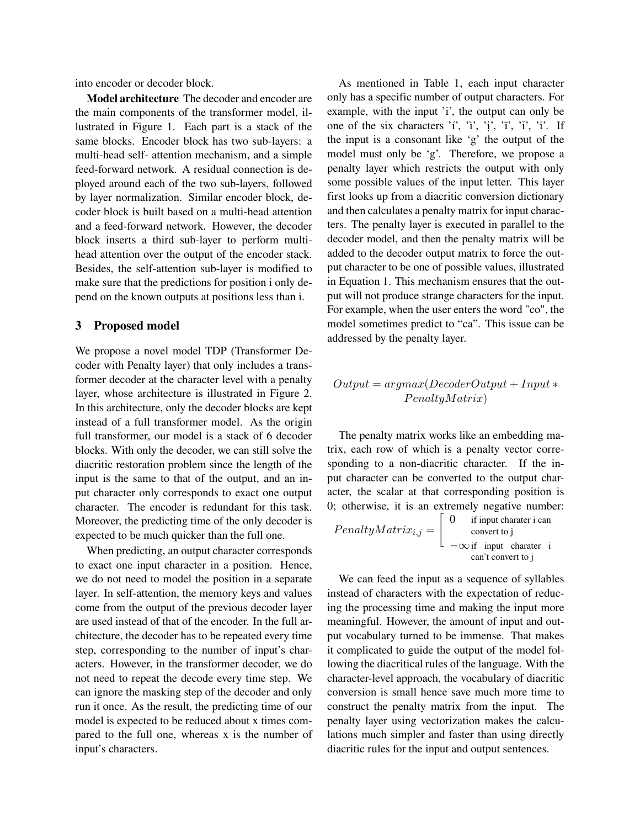into encoder or decoder block.

**Model architecture** The decoder and encoder are the main components of the transformer model, illustrated in Figure 1. Each part is a stack of the same blocks. Encoder block has two sub-layers: a multi-head self- attention mechanism, and a simple feed-forward network. A residual connection is deployed around each of the two sub-layers, followed by layer normalization. Similar encoder block, decoder block is built based on a multi-head attention and a feed-forward network. However, the decoder block inserts a third sub-layer to perform multihead attention over the output of the encoder stack. Besides, the self-attention sub-layer is modified to make sure that the predictions for position i only depend on the known outputs at positions less than i.

#### **3 Proposed model**

We propose a novel model TDP (Transformer Decoder with Penalty layer) that only includes a transformer decoder at the character level with a penalty layer, whose architecture is illustrated in Figure 2. In this architecture, only the decoder blocks are kept instead of a full transformer model. As the origin full transformer, our model is a stack of 6 decoder blocks. With only the decoder, we can still solve the diacritic restoration problem since the length of the input is the same to that of the output, and an input character only corresponds to exact one output character. The encoder is redundant for this task. Moreover, the predicting time of the only decoder is expected to be much quicker than the full one.

When predicting, an output character corresponds to exact one input character in a position. Hence, we do not need to model the position in a separate layer. In self-attention, the memory keys and values come from the output of the previous decoder layer are used instead of that of the encoder. In the full architecture, the decoder has to be repeated every time step, corresponding to the number of input's characters. However, in the transformer decoder, we do not need to repeat the decode every time step. We can ignore the masking step of the decoder and only run it once. As the result, the predicting time of our model is expected to be reduced about x times compared to the full one, whereas x is the number of input's characters.

As mentioned in Table 1, each input character only has a specific number of output characters. For example, with the input 'i', the output can only be one of the six characters 'í', 'ì', 'i', 'ï', 'i'. If the input is a consonant like 'g' the output of the model must only be 'g'. Therefore, we propose a penalty layer which restricts the output with only some possible values of the input letter. This layer first looks up from a diacritic conversion dictionary and then calculates a penalty matrix for input characters. The penalty layer is executed in parallel to the decoder model, and then the penalty matrix will be added to the decoder output matrix to force the output character to be one of possible values, illustrated in Equation 1. This mechanism ensures that the output will not produce strange characters for the input. For example, when the user enters the word "co", the model sometimes predict to "ca". This issue can be addressed by the penalty layer.

### $Output = argmax(DecoderOutput + Input *$  $PenaltyMatrix)$

The penalty matrix works like an embedding matrix, each row of which is a penalty vector corresponding to a non-diacritic character. If the input character can be converted to the output character, the scalar at that corresponding position is 0; otherwise, it is an extremely negative number:

$$
PenaltyMatrix_{i,j} = \begin{bmatrix} 0 & \text{if input character i can} \\ \text{convert to j} \\ -\infty \text{ if input character i} \\ \text{can't convert to j} \end{bmatrix}
$$

We can feed the input as a sequence of syllables instead of characters with the expectation of reducing the processing time and making the input more meaningful. However, the amount of input and output vocabulary turned to be immense. That makes it complicated to guide the output of the model following the diacritical rules of the language. With the character-level approach, the vocabulary of diacritic conversion is small hence save much more time to construct the penalty matrix from the input. The penalty layer using vectorization makes the calculations much simpler and faster than using directly diacritic rules for the input and output sentences.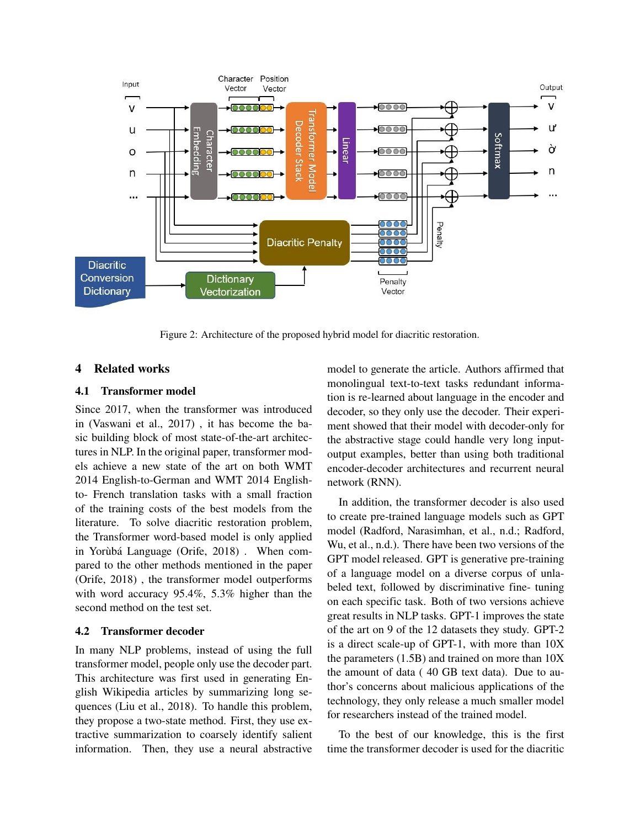

Figure 2: Architecture of the proposed hybrid model for diacritic restoration.

### **4 Related works**

#### **4.1 Transformer model**

Since 2017, when the transformer was introduced in (Vaswani et al., 2017) , it has become the basic building block of most state-of-the-art architectures in NLP. In the original paper, transformer models achieve a new state of the art on both WMT 2014 English-to-German and WMT 2014 Englishto- French translation tasks with a small fraction of the training costs of the best models from the literature. To solve diacritic restoration problem, the Transformer word-based model is only applied in Yorùbá Language (Orife, 2018) . When compared to the other methods mentioned in the paper (Orife, 2018) , the transformer model outperforms with word accuracy 95.4%, 5.3% higher than the second method on the test set.

#### **4.2 Transformer decoder**

In many NLP problems, instead of using the full transformer model, people only use the decoder part. This architecture was first used in generating English Wikipedia articles by summarizing long sequences (Liu et al., 2018). To handle this problem, they propose a two-state method. First, they use extractive summarization to coarsely identify salient information. Then, they use a neural abstractive model to generate the article. Authors affirmed that monolingual text-to-text tasks redundant information is re-learned about language in the encoder and decoder, so they only use the decoder. Their experiment showed that their model with decoder-only for the abstractive stage could handle very long inputoutput examples, better than using both traditional encoder-decoder architectures and recurrent neural network (RNN).

In addition, the transformer decoder is also used to create pre-trained language models such as GPT model (Radford, Narasimhan, et al., n.d.; Radford, Wu, et al., n.d.). There have been two versions of the GPT model released. GPT is generative pre-training of a language model on a diverse corpus of unlabeled text, followed by discriminative fine- tuning on each specific task. Both of two versions achieve great results in NLP tasks. GPT-1 improves the state of the art on 9 of the 12 datasets they study. GPT-2 is a direct scale-up of GPT-1, with more than 10X the parameters (1.5B) and trained on more than 10X the amount of data ( 40 GB text data). Due to author's concerns about malicious applications of the technology, they only release a much smaller model for researchers instead of the trained model.

To the best of our knowledge, this is the first time the transformer decoder is used for the diacritic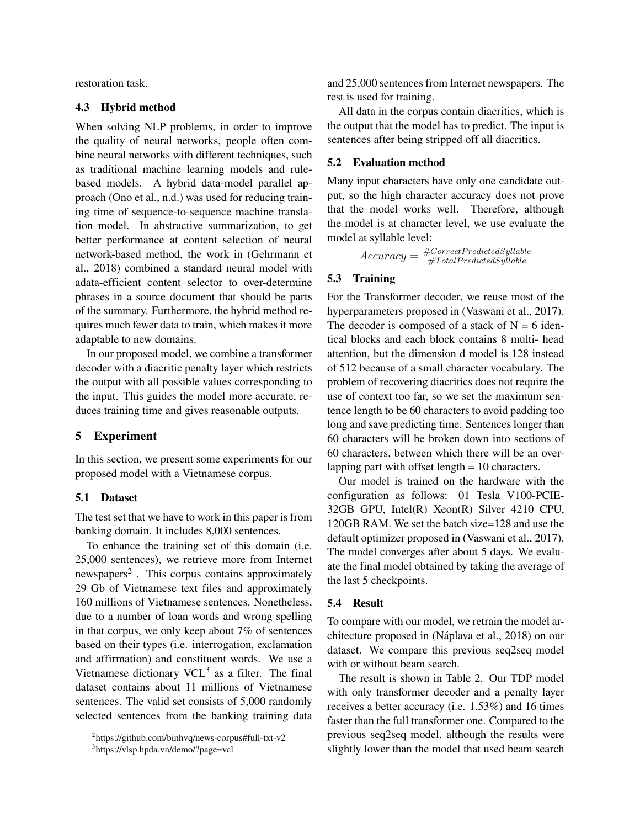restoration task.

#### **4.3 Hybrid method**

When solving NLP problems, in order to improve the quality of neural networks, people often combine neural networks with different techniques, such as traditional machine learning models and rulebased models. A hybrid data-model parallel approach (Ono et al., n.d.) was used for reducing training time of sequence-to-sequence machine translation model. In abstractive summarization, to get better performance at content selection of neural network-based method, the work in (Gehrmann et al., 2018) combined a standard neural model with adata-efficient content selector to over-determine phrases in a source document that should be parts of the summary. Furthermore, the hybrid method requires much fewer data to train, which makes it more adaptable to new domains.

In our proposed model, we combine a transformer decoder with a diacritic penalty layer which restricts the output with all possible values corresponding to the input. This guides the model more accurate, reduces training time and gives reasonable outputs.

## **5 Experiment**

In this section, we present some experiments for our proposed model with a Vietnamese corpus.

### **5.1 Dataset**

The test set that we have to work in this paper is from banking domain. It includes 8,000 sentences.

To enhance the training set of this domain (i.e. 25,000 sentences), we retrieve more from Internet newspapers<sup>2</sup>. This corpus contains approximately 29 Gb of Vietnamese text files and approximately 160 millions of Vietnamese sentences. Nonetheless, due to a number of loan words and wrong spelling in that corpus, we only keep about 7% of sentences based on their types (i.e. interrogation, exclamation and affirmation) and constituent words. We use a Vietnamese dictionary VCL $<sup>3</sup>$  as a filter. The final</sup> dataset contains about 11 millions of Vietnamese sentences. The valid set consists of 5,000 randomly selected sentences from the banking training data

and 25,000 sentences from Internet newspapers. The rest is used for training.

All data in the corpus contain diacritics, which is the output that the model has to predict. The input is sentences after being stripped off all diacritics.

#### **5.2 Evaluation method**

Many input characters have only one candidate output, so the high character accuracy does not prove that the model works well. Therefore, although the model is at character level, we use evaluate the model at syllable level:

> $Accuracy = \frac{\#CorrectPredictedSyllable}{\#Total PredictedSyllable}$  $\#Total PredictedSyllable$

#### **5.3 Training**

For the Transformer decoder, we reuse most of the hyperparameters proposed in (Vaswani et al., 2017). The decoder is composed of a stack of  $N = 6$  identical blocks and each block contains 8 multi- head attention, but the dimension d model is 128 instead of 512 because of a small character vocabulary. The problem of recovering diacritics does not require the use of context too far, so we set the maximum sentence length to be 60 characters to avoid padding too long and save predicting time. Sentences longer than 60 characters will be broken down into sections of 60 characters, between which there will be an overlapping part with offset length = 10 characters.

Our model is trained on the hardware with the configuration as follows: 01 Tesla V100-PCIE-32GB GPU, Intel(R) Xeon(R) Silver 4210 CPU, 120GB RAM. We set the batch size=128 and use the default optimizer proposed in (Vaswani et al., 2017). The model converges after about 5 days. We evaluate the final model obtained by taking the average of the last 5 checkpoints.

## **5.4 Result**

To compare with our model, we retrain the model architecture proposed in (Náplava et al., 2018) on our dataset. We compare this previous seq2seq model with or without beam search.

The result is shown in Table 2. Our TDP model with only transformer decoder and a penalty layer receives a better accuracy (i.e. 1.53%) and 16 times faster than the full transformer one. Compared to the previous seq2seq model, although the results were slightly lower than the model that used beam search

<sup>2</sup> https://github.com/binhvq/news-corpus#full-txt-v2

<sup>3</sup> https://vlsp.hpda.vn/demo/?page=vcl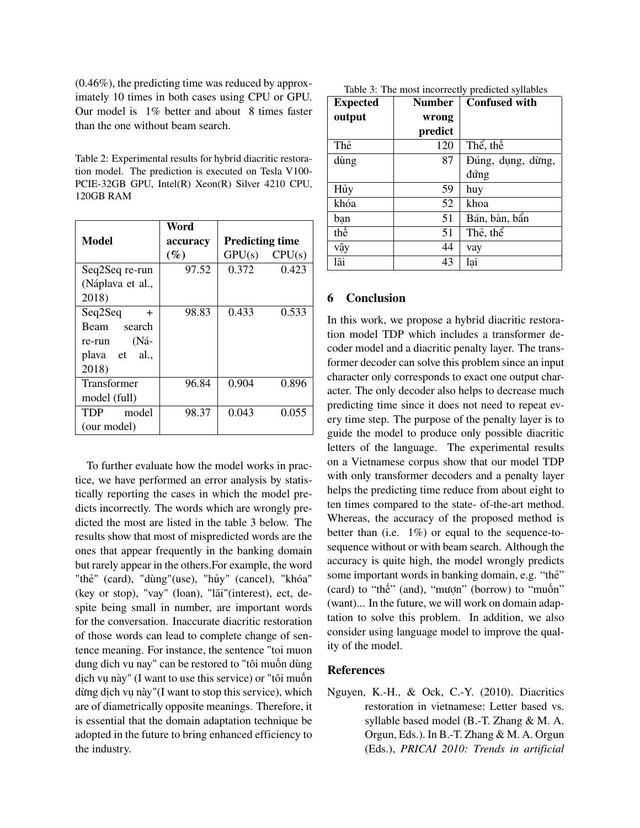(0.46%), the predicting time was reduced by approximately 10 times in both cases using CPU or GPU. Our model is 1% better and about 8 times faster than the one without beam search.

Table 2: Experimental results for hybrid diacritic restoration model. The prediction is executed on Tesla V100- PCIE-32GB GPU, Intel(R) Xeon(R) Silver 4210 CPU, 120GB RAM

|                   | Word     |                        |
|-------------------|----------|------------------------|
| <b>Model</b>      | accuracy | <b>Predicting time</b> |
|                   | $(\%)$   | $GPU(s)$ $CPU(s)$      |
| Seq2Seq re-run    | 97.52    | 0.372<br>0.423         |
| (Náplava et al.,  |          |                        |
| 2018)             |          |                        |
| Seq2Seq<br>$^{+}$ | 98.83    | 0.433<br>0.533         |
| Beam<br>search    |          |                        |
| (Ná-<br>re-run    |          |                        |
| plava et al.,     |          |                        |
| 2018)             |          |                        |
| Transformer       | 96.84    | 0.904<br>0.896         |
| model (full)      |          |                        |
| TDP<br>model      | 98.37    | 0.043<br>0.055         |
| (our model)       |          |                        |

To further evaluate how the model works in practice, we have performed an error analysis by statistically reporting the cases in which the model predicts incorrectly. The words which are wrongly predicted the most are listed in the table 3 below. The results show that most of mispredicted words are the ones that appear frequently in the banking domain but rarely appear in the others.For example, the word "thẻ" (card), "dùng"(use), "hủy" (cancel), "khóa" (key or stop), "vay" (loan), "lãi"(interest), ect, despite being small in number, are important words for the conversation. Inaccurate diacritic restoration of those words can lead to complete change of sentence meaning. For instance, the sentence "toi muon dung dich vu nay" can be restored to "tôi muốn dùng dịch vụ này" (I want to use this service) or "tôi muốn dừng dịch vụ này"(I want to stop this service), which are of diametrically opposite meanings. Therefore, it is essential that the domain adaptation technique be adopted in the future to bring enhanced efficiency to the industry.

| Table 3: The most incorrectly predicted syllables |  |  |  |
|---------------------------------------------------|--|--|--|
|---------------------------------------------------|--|--|--|

| <b>Expected</b> | <b>Number</b> | <b>Confused with</b> |
|-----------------|---------------|----------------------|
| output          | wrong         |                      |
|                 | predict       |                      |
| Thẻ             | 120           | Thể, thế             |
| dùng            | 87            | Đúng, dụng, dừng,    |
|                 |               | đứng                 |
| Hủy             | 59            | huy                  |
| khóa            | 52            | khoa                 |
| ban             | 51            | Bán, bàn, bẩn        |
| thế             | 51            | Thẻ, thể             |
| vậy             | 44            | vay                  |
| lãi             | 43            | lai                  |

### **6 Conclusion**

In this work, we propose a hybrid diacritic restoration model TDP which includes a transformer decoder model and a diacritic penalty layer. The transformer decoder can solve this problem since an input character only corresponds to exact one output character. The only decoder also helps to decrease much predicting time since it does not need to repeat every time step. The purpose of the penalty layer is to guide the model to produce only possible diacritic letters of the language. The experimental results on a Vietnamese corpus show that our model TDP with only transformer decoders and a penalty layer helps the predicting time reduce from about eight to ten times compared to the state- of-the-art method. Whereas, the accuracy of the proposed method is better than (i.e. 1%) or equal to the sequence-tosequence without or with beam search. Although the accuracy is quite high, the model wrongly predicts some important words in banking domain, e.g. "thẻ" (card) to "thế" (and), "mượn" (borrow) to "muốn" (want)... In the future, we will work on domain adaptation to solve this problem. In addition, we also consider using language model to improve the quality of the model.

### **References**

Nguyen, K.-H., & Ock, C.-Y. (2010). Diacritics restoration in vietnamese: Letter based vs. syllable based model (B.-T. Zhang & M. A. Orgun, Eds.). In B.-T. Zhang & M. A. Orgun (Eds.), *PRICAI 2010: Trends in artificial*